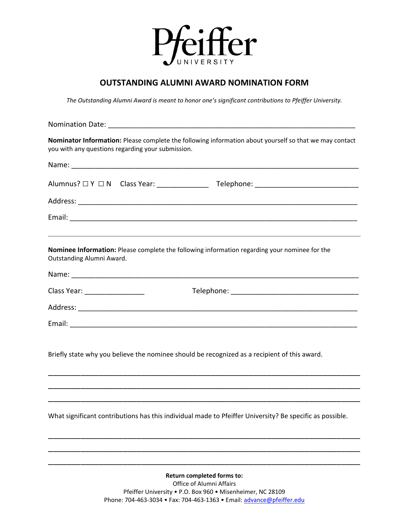

## **OUTSTANDING ALUMNI AWARD NOMINATION FORM**

*The Outstanding Alumni Award is meant to honor one's significant contributions to Pfeiffer University.*

| <b>Nomination Date:</b>                                                                                                                                     |
|-------------------------------------------------------------------------------------------------------------------------------------------------------------|
| Nominator Information: Please complete the following information about yourself so that we may contact<br>you with any questions regarding your submission. |
|                                                                                                                                                             |
|                                                                                                                                                             |
|                                                                                                                                                             |
|                                                                                                                                                             |
| Nominee Information: Please complete the following information regarding your nominee for the<br>Outstanding Alumni Award.                                  |
|                                                                                                                                                             |
| Class Year: __________________                                                                                                                              |
|                                                                                                                                                             |
|                                                                                                                                                             |
| Briefly state why you believe the nominee should be recognized as a recipient of this award.                                                                |
|                                                                                                                                                             |
|                                                                                                                                                             |
| What significant contributions has this individual made to Pfeiffer University? Be specific as possible.                                                    |
|                                                                                                                                                             |
|                                                                                                                                                             |

**Return completed forms to:** Office of Alumni Affairs Pfeiffer University • P.O. Box 960 • Misenheimer, NC 28109 Phone: 704-463-3034 • Fax: 704-463-1363 • Email: [advance@pfeiffer.edu](mailto:advance@pfeiffer.edu)